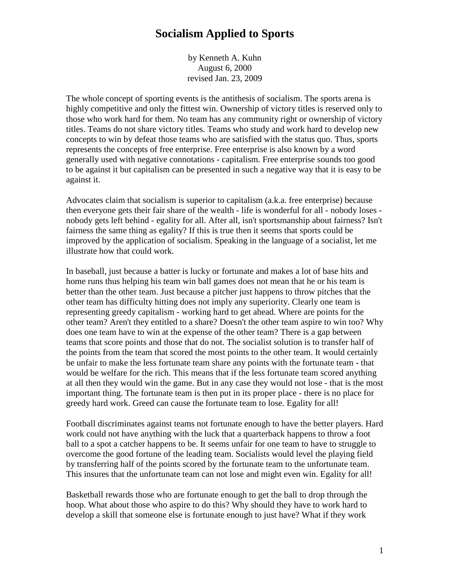## **Socialism Applied to Sports**

by Kenneth A. Kuhn August 6, 2000 revised Jan. 23, 2009

The whole concept of sporting events is the antithesis of socialism. The sports arena is highly competitive and only the fittest win. Ownership of victory titles is reserved only to those who work hard for them. No team has any community right or ownership of victory titles. Teams do not share victory titles. Teams who study and work hard to develop new concepts to win by defeat those teams who are satisfied with the status quo. Thus, sports represents the concepts of free enterprise. Free enterprise is also known by a word generally used with negative connotations - capitalism. Free enterprise sounds too good to be against it but capitalism can be presented in such a negative way that it is easy to be against it.

Advocates claim that socialism is superior to capitalism (a.k.a. free enterprise) because then everyone gets their fair share of the wealth - life is wonderful for all - nobody loses nobody gets left behind - egality for all. After all, isn't sportsmanship about fairness? Isn't fairness the same thing as egality? If this is true then it seems that sports could be improved by the application of socialism. Speaking in the language of a socialist, let me illustrate how that could work.

In baseball, just because a batter is lucky or fortunate and makes a lot of base hits and home runs thus helping his team win ball games does not mean that he or his team is better than the other team. Just because a pitcher just happens to throw pitches that the other team has difficulty hitting does not imply any superiority. Clearly one team is representing greedy capitalism - working hard to get ahead. Where are points for the other team? Aren't they entitled to a share? Doesn't the other team aspire to win too? Why does one team have to win at the expense of the other team? There is a gap between teams that score points and those that do not. The socialist solution is to transfer half of the points from the team that scored the most points to the other team. It would certainly be unfair to make the less fortunate team share any points with the fortunate team - that would be welfare for the rich. This means that if the less fortunate team scored anything at all then they would win the game. But in any case they would not lose - that is the most important thing. The fortunate team is then put in its proper place - there is no place for greedy hard work. Greed can cause the fortunate team to lose. Egality for all!

Football discriminates against teams not fortunate enough to have the better players. Hard work could not have anything with the luck that a quarterback happens to throw a foot ball to a spot a catcher happens to be. It seems unfair for one team to have to struggle to overcome the good fortune of the leading team. Socialists would level the playing field by transferring half of the points scored by the fortunate team to the unfortunate team. This insures that the unfortunate team can not lose and might even win. Egality for all!

Basketball rewards those who are fortunate enough to get the ball to drop through the hoop. What about those who aspire to do this? Why should they have to work hard to develop a skill that someone else is fortunate enough to just have? What if they work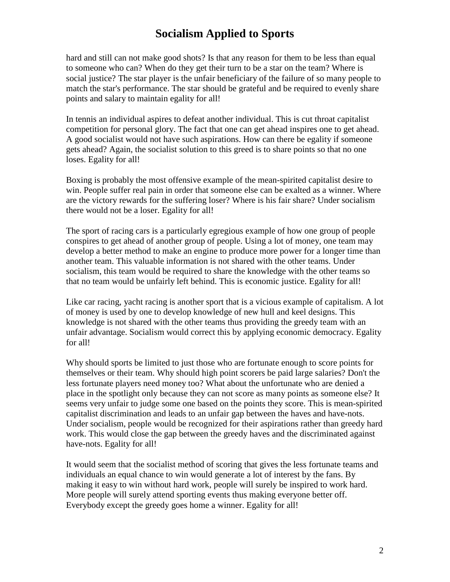## **Socialism Applied to Sports**

hard and still can not make good shots? Is that any reason for them to be less than equal to someone who can? When do they get their turn to be a star on the team? Where is social justice? The star player is the unfair beneficiary of the failure of so many people to match the star's performance. The star should be grateful and be required to evenly share points and salary to maintain egality for all!

In tennis an individual aspires to defeat another individual. This is cut throat capitalist competition for personal glory. The fact that one can get ahead inspires one to get ahead. A good socialist would not have such aspirations. How can there be egality if someone gets ahead? Again, the socialist solution to this greed is to share points so that no one loses. Egality for all!

Boxing is probably the most offensive example of the mean-spirited capitalist desire to win. People suffer real pain in order that someone else can be exalted as a winner. Where are the victory rewards for the suffering loser? Where is his fair share? Under socialism there would not be a loser. Egality for all!

The sport of racing cars is a particularly egregious example of how one group of people conspires to get ahead of another group of people. Using a lot of money, one team may develop a better method to make an engine to produce more power for a longer time than another team. This valuable information is not shared with the other teams. Under socialism, this team would be required to share the knowledge with the other teams so that no team would be unfairly left behind. This is economic justice. Egality for all!

Like car racing, yacht racing is another sport that is a vicious example of capitalism. A lot of money is used by one to develop knowledge of new hull and keel designs. This knowledge is not shared with the other teams thus providing the greedy team with an unfair advantage. Socialism would correct this by applying economic democracy. Egality for all!

Why should sports be limited to just those who are fortunate enough to score points for themselves or their team. Why should high point scorers be paid large salaries? Don't the less fortunate players need money too? What about the unfortunate who are denied a place in the spotlight only because they can not score as many points as someone else? It seems very unfair to judge some one based on the points they score. This is mean-spirited capitalist discrimination and leads to an unfair gap between the haves and have-nots. Under socialism, people would be recognized for their aspirations rather than greedy hard work. This would close the gap between the greedy haves and the discriminated against have-nots. Egality for all!

It would seem that the socialist method of scoring that gives the less fortunate teams and individuals an equal chance to win would generate a lot of interest by the fans. By making it easy to win without hard work, people will surely be inspired to work hard. More people will surely attend sporting events thus making everyone better off. Everybody except the greedy goes home a winner. Egality for all!